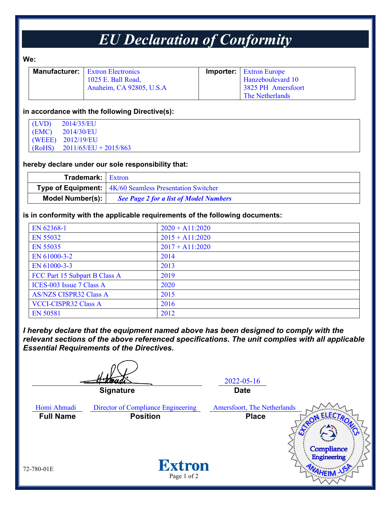## *EU Declaration of Conformity*

#### **We:**

| <b>Manufacturer:</b> Extron Electronics | <b>Importer:</b> Extron Europe |
|-----------------------------------------|--------------------------------|
| 1025 E. Ball Road,                      | Hanzeboulevard 10              |
| Anaheim, CA 92805, U.S.A                | 3825 PH Amersfoort             |
|                                         | The Netherlands                |

#### **in accordance with the following Directive(s):**

| (LVD)  | 2014/35/EU              |
|--------|-------------------------|
| (EMC)  | 2014/30/EU              |
|        | (WEEE) 2012/19/EU       |
| (RoHS) | $2011/65/EU + 2015/863$ |

#### **hereby declare under our sole responsibility that:**

| <b>Trademark:</b> Extron |                                                                  |  |
|--------------------------|------------------------------------------------------------------|--|
|                          | <b>Type of Equipment:</b> $4K/60$ Seamless Presentation Switcher |  |
| Model Number(s):         | <b>See Page 2 for a list of Model Numbers</b>                    |  |

#### **is in conformity with the applicable requirements of the following documents:**

| EN 62368-1                    | $2020 + A11:2020$ |
|-------------------------------|-------------------|
| EN 55032                      | $2015 + A11:2020$ |
| EN 55035                      | $2017 + A11:2020$ |
| EN 61000-3-2                  | 2014              |
| EN 61000-3-3                  | 2013              |
| FCC Part 15 Subpart B Class A | 2019              |
| ICES-003 Issue 7 Class A      | 2020              |
| <b>AS/NZS CISPR32 Class A</b> | 2015              |
| <b>VCCI-CISPR32 Class A</b>   | 2016              |
| <b>EN 50581</b>               | 2012              |

*I hereby declare that the equipment named above has been designed to comply with the relevant sections of the above referenced specifications. The unit complies with all applicable Essential Requirements of the Directives.*

2022-05-16 **Signature Date** Homi Ahmadi Director of Compliance Engineering Amersfoort, The Netherlands **Full Name Position Place**Compliance Engineering **Extron** 72-780-01E Page 1 of 2